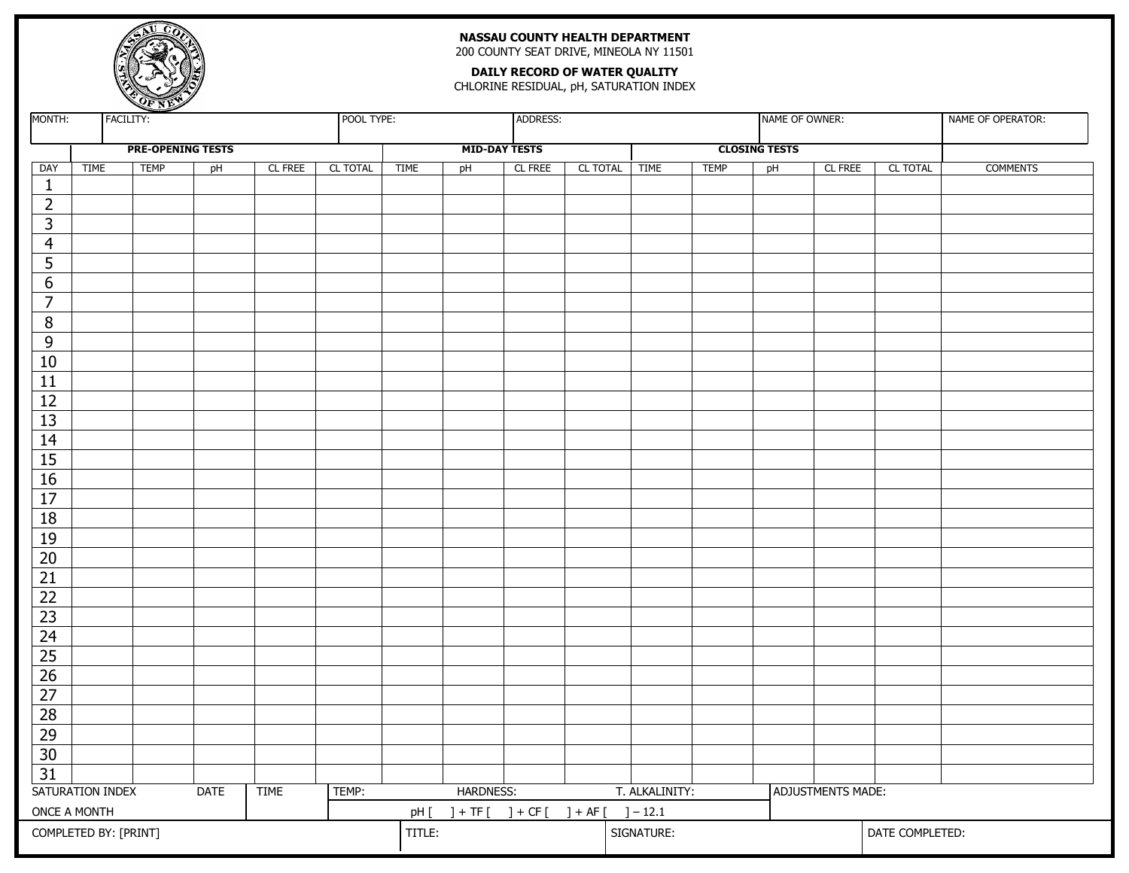

# **NASSAU COUNTY HEALTH DEPARTMENT**

200 COUNTY SEAT DRIVE, MINEOLA NY 11501

#### **DAILY RECORD OF WATER QUALITY**

CHLORINE RESIDUAL, pH, SATURATION INDEX

| MONTH:                                                  |             | FACILITY:   |                          |         | POOL TYPE:                                |             |                      | ADDRESS:   |               |                   |                 | NAME OF OWNER:       |         |          | NAME OF OPERATOR: |
|---------------------------------------------------------|-------------|-------------|--------------------------|---------|-------------------------------------------|-------------|----------------------|------------|---------------|-------------------|-----------------|----------------------|---------|----------|-------------------|
|                                                         |             |             | <b>PRE-OPENING TESTS</b> |         |                                           |             | <b>MID-DAY TESTS</b> |            |               |                   |                 | <b>CLOSING TESTS</b> |         |          |                   |
| DAY                                                     | <b>TIME</b> | <b>TEMP</b> | pH                       | CL FREE | CL TOTAL                                  | <b>TIME</b> | pH                   | CL FREE    | CL TOTAL TIME |                   | <b>TEMP</b>     | pH                   | CL FREE | CL TOTAL | <b>COMMENTS</b>   |
| $\mathbf{1}$                                            |             |             |                          |         |                                           |             |                      |            |               |                   |                 |                      |         |          |                   |
| $\overline{2}$                                          |             |             |                          |         |                                           |             |                      |            |               |                   |                 |                      |         |          |                   |
| $\overline{\mathbf{3}}$                                 |             |             |                          |         |                                           |             |                      |            |               |                   |                 |                      |         |          |                   |
| $\overline{4}$                                          |             |             |                          |         |                                           |             |                      |            |               |                   |                 |                      |         |          |                   |
| $\overline{5}$                                          |             |             |                          |         |                                           |             |                      |            |               |                   |                 |                      |         |          |                   |
| $\boldsymbol{6}$                                        |             |             |                          |         |                                           |             |                      |            |               |                   |                 |                      |         |          |                   |
| $\overline{7}$                                          |             |             |                          |         |                                           |             |                      |            |               |                   |                 |                      |         |          |                   |
| $\, 8$                                                  |             |             |                          |         |                                           |             |                      |            |               |                   |                 |                      |         |          |                   |
| $\overline{9}$                                          |             |             |                          |         |                                           |             |                      |            |               |                   |                 |                      |         |          |                   |
| 10                                                      |             |             |                          |         |                                           |             |                      |            |               |                   |                 |                      |         |          |                   |
| $\overline{11}$                                         |             |             |                          |         |                                           |             |                      |            |               |                   |                 |                      |         |          |                   |
| $\overline{12}$                                         |             |             |                          |         |                                           |             |                      |            |               |                   |                 |                      |         |          |                   |
| $\overline{13}$                                         |             |             |                          |         |                                           |             |                      |            |               |                   |                 |                      |         |          |                   |
| $\overline{14}$                                         |             |             |                          |         |                                           |             |                      |            |               |                   |                 |                      |         |          |                   |
| $\overline{15}$                                         |             |             |                          |         |                                           |             |                      |            |               |                   |                 |                      |         |          |                   |
| 16                                                      |             |             |                          |         |                                           |             |                      |            |               |                   |                 |                      |         |          |                   |
| $\overline{17}$                                         |             |             |                          |         |                                           |             |                      |            |               |                   |                 |                      |         |          |                   |
| $\overline{18}$                                         |             |             |                          |         |                                           |             |                      |            |               |                   |                 |                      |         |          |                   |
| $\overline{19}$                                         |             |             |                          |         |                                           |             |                      |            |               |                   |                 |                      |         |          |                   |
| $\overline{20}$                                         |             |             |                          |         |                                           |             |                      |            |               |                   |                 |                      |         |          |                   |
| $\overline{21}$                                         |             |             |                          |         |                                           |             |                      |            |               |                   |                 |                      |         |          |                   |
| $\overline{22}$                                         |             |             |                          |         |                                           |             |                      |            |               |                   |                 |                      |         |          |                   |
| $\overline{23}$                                         |             |             |                          |         |                                           |             |                      |            |               |                   |                 |                      |         |          |                   |
| $\overline{24}$                                         |             |             |                          |         |                                           |             |                      |            |               |                   |                 |                      |         |          |                   |
| $\overline{25}$                                         |             |             |                          |         |                                           |             |                      |            |               |                   |                 |                      |         |          |                   |
| $\overline{26}$                                         |             |             |                          |         |                                           |             |                      |            |               |                   |                 |                      |         |          |                   |
| $\overline{27}$                                         |             |             |                          |         |                                           |             |                      |            |               |                   |                 |                      |         |          |                   |
| $\overline{28}$                                         |             |             |                          |         |                                           |             |                      |            |               |                   |                 |                      |         |          |                   |
| $\overline{29}$                                         |             |             |                          |         |                                           |             |                      |            |               |                   |                 |                      |         |          |                   |
| $\overline{30}$                                         |             |             |                          |         |                                           |             |                      |            |               |                   |                 |                      |         |          |                   |
| $\overline{31}$                                         |             |             |                          |         |                                           |             |                      |            |               |                   |                 |                      |         |          |                   |
| SATURATION INDEX<br>TEMP:<br><b>DATE</b><br><b>TIME</b> |             |             |                          |         | HARDNESS:<br>T. ALKALINITY:               |             |                      |            |               | ADJUSTMENTS MADE: |                 |                      |         |          |                   |
| ONCE A MONTH                                            |             |             |                          |         | $]+ TF[$ ] + CF[ ] + AF[ ] - 12.1<br>pH [ |             |                      |            |               |                   |                 |                      |         |          |                   |
| COMPLETED BY: [PRINT]                                   |             |             |                          |         | TITLE:                                    |             |                      | SIGNATURE: |               |                   | DATE COMPLETED: |                      |         |          |                   |